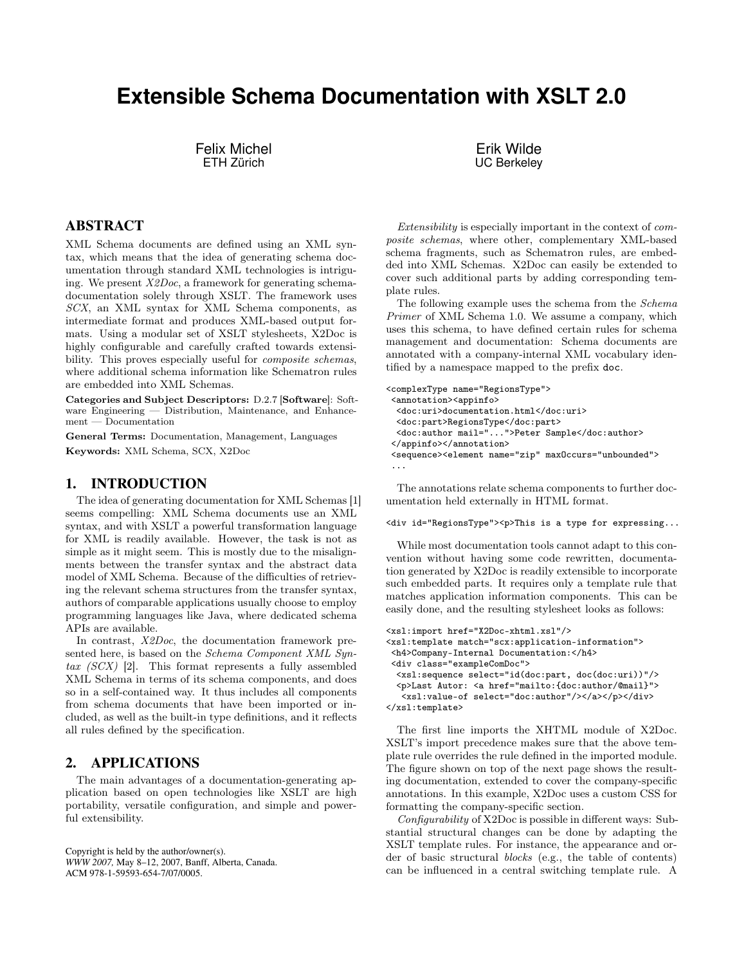# **Extensible Schema Documentation with XSLT 2.0**

Felix Michel ETH Zürich

Erik Wilde UC Berkeley

## ABSTRACT

XML Schema documents are defined using an XML syntax, which means that the idea of generating schema documentation through standard XML technologies is intriguing. We present  $X2Doc$ , a framework for generating schemadocumentation solely through XSLT. The framework uses SCX, an XML syntax for XML Schema components, as intermediate format and produces XML-based output formats. Using a modular set of XSLT stylesheets, X2Doc is highly configurable and carefully crafted towards extensibility. This proves especially useful for *composite schemas*, where additional schema information like Schematron rules are embedded into XML Schemas.

Categories and Subject Descriptors: D.2.7 [Software]: Software Engineering — Distribution, Maintenance, and Enhancement — Documentation

General Terms: Documentation, Management, Languages Keywords: XML Schema, SCX, X2Doc

#### 1. INTRODUCTION

The idea of generating documentation for XML Schemas [1] seems compelling: XML Schema documents use an XML syntax, and with XSLT a powerful transformation language for XML is readily available. However, the task is not as simple as it might seem. This is mostly due to the misalignments between the transfer syntax and the abstract data model of XML Schema. Because of the difficulties of retrieving the relevant schema structures from the transfer syntax, authors of comparable applications usually choose to employ programming languages like Java, where dedicated schema APIs are available.

In contrast, X2Doc, the documentation framework presented here, is based on the *Schema Component XML Syn*tax  $(SCX)$  [2]. This format represents a fully assembled XML Schema in terms of its schema components, and does so in a self-contained way. It thus includes all components from schema documents that have been imported or included, as well as the built-in type definitions, and it reflects all rules defined by the specification.

# 2. APPLICATIONS

The main advantages of a documentation-generating application based on open technologies like XSLT are high portability, versatile configuration, and simple and powerful extensibility.

Copyright is held by the author/owner(s). *WWW 2007,* May 8–12, 2007, Banff, Alberta, Canada. ACM 978-1-59593-654-7/07/0005.

Extensibility is especially important in the context of composite schemas, where other, complementary XML-based schema fragments, such as Schematron rules, are embedded into XML Schemas. X2Doc can easily be extended to cover such additional parts by adding corresponding template rules.

The following example uses the schema from the Schema Primer of XML Schema 1.0. We assume a company, which uses this schema, to have defined certain rules for schema management and documentation: Schema documents are annotated with a company-internal XML vocabulary identified by a namespace mapped to the prefix doc.

```
<complexType name="RegionsType">
 <annotation><appinfo>
  <doc:uri>documentation.html</doc:uri>
  <doc:part>RegionsType</doc:part>
  <doc:author mail="...">Peter Sample</doc:author>
 </appinfo></annotation>
 <sequence><element name="zip" maxOccurs="unbounded">
 ...
```
The annotations relate schema components to further documentation held externally in HTML format.

#### <div id="RegionsType"><p>This is a type for expressing...

While most documentation tools cannot adapt to this convention without having some code rewritten, documentation generated by X2Doc is readily extensible to incorporate such embedded parts. It requires only a template rule that matches application information components. This can be easily done, and the resulting stylesheet looks as follows:

```
<xsl:import href="X2Doc-xhtml.xsl"/>
<xsl:template match="scx:application-information">
 <h4>Company-Internal Documentation:</h4>
 <div class="exampleComDoc">
  <xsl:sequence select="id(doc:part, doc(doc:uri))"/>
  <p>Last Autor: <a href="mailto:{doc:author/@mail}">
   <xsl:value-of select="doc:author"/></a></p></div>
</xsl:template>
```
The first line imports the XHTML module of X2Doc. XSLT's import precedence makes sure that the above template rule overrides the rule defined in the imported module. The figure shown on top of the next page shows the resulting documentation, extended to cover the company-specific annotations. In this example, X2Doc uses a custom CSS for formatting the company-specific section.

Configurability of X2Doc is possible in different ways: Substantial structural changes can be done by adapting the XSLT template rules. For instance, the appearance and order of basic structural blocks (e.g., the table of contents) can be influenced in a central switching template rule. A